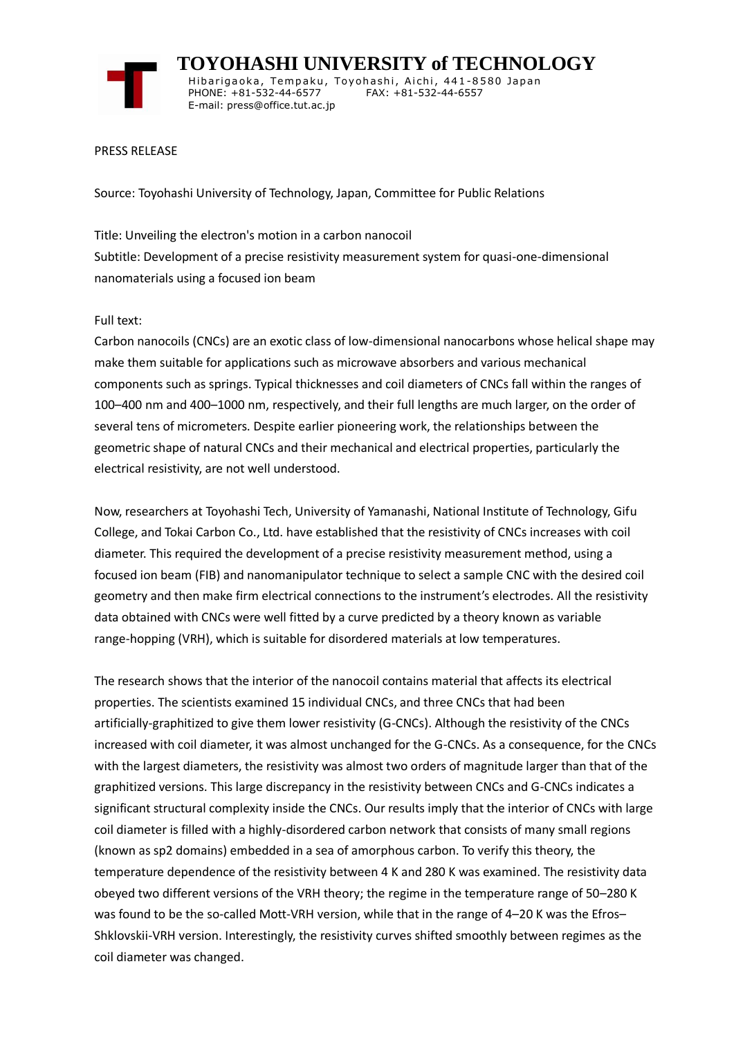

 **TOYOHASHI UNIVERSITY of TECHNOLOGY** Hibarigaoka, Tempaku, Toyohashi, Aichi, 441-8580 Japan PHONE: +81-532-44-6577 FAX: +81-532-44-6557 E-mail: press@office.tut.ac.jp

#### PRESS RELEASE

Source: Toyohashi University of Technology, Japan, Committee for Public Relations

Title: Unveiling the electron's motion in a carbon nanocoil Subtitle: Development of a precise resistivity measurement system for quasi-one-dimensional nanomaterials using a focused ion beam

### Full text:

Carbon nanocoils (CNCs) are an exotic class of low-dimensional nanocarbons whose helical shape may make them suitable for applications such as microwave absorbers and various mechanical components such as springs. Typical thicknesses and coil diameters of CNCs fall within the ranges of 100–400 nm and 400–1000 nm, respectively, and their full lengths are much larger, on the order of several tens of micrometers. Despite earlier pioneering work, the relationships between the geometric shape of natural CNCs and their mechanical and electrical properties, particularly the electrical resistivity, are not well understood.

Now, researchers at Toyohashi Tech, University of Yamanashi, National Institute of Technology, Gifu College, and Tokai Carbon Co., Ltd. have established that the resistivity of CNCs increases with coil diameter. This required the development of a precise resistivity measurement method, using a focused ion beam (FIB) and nanomanipulator technique to select a sample CNC with the desired coil geometry and then make firm electrical connections to the instrument's electrodes. All the resistivity data obtained with CNCs were well fitted by a curve predicted by a theory known as variable range-hopping (VRH), which is suitable for disordered materials at low temperatures.

The research shows that the interior of the nanocoil contains material that affects its electrical properties. The scientists examined 15 individual CNCs, and three CNCs that had been artificially-graphitized to give them lower resistivity (G-CNCs). Although the resistivity of the CNCs increased with coil diameter, it was almost unchanged for the G-CNCs. As a consequence, for the CNCs with the largest diameters, the resistivity was almost two orders of magnitude larger than that of the graphitized versions. This large discrepancy in the resistivity between CNCs and G-CNCs indicates a significant structural complexity inside the CNCs. Our results imply that the interior of CNCs with large coil diameter is filled with a highly-disordered carbon network that consists of many small regions (known as sp2 domains) embedded in a sea of amorphous carbon. To verify this theory, the temperature dependence of the resistivity between 4 K and 280 K was examined. The resistivity data obeyed two different versions of the VRH theory; the regime in the temperature range of 50–280 K was found to be the so-called Mott-VRH version, while that in the range of 4–20 K was the Efros– Shklovskii-VRH version. Interestingly, the resistivity curves shifted smoothly between regimes as the coil diameter was changed.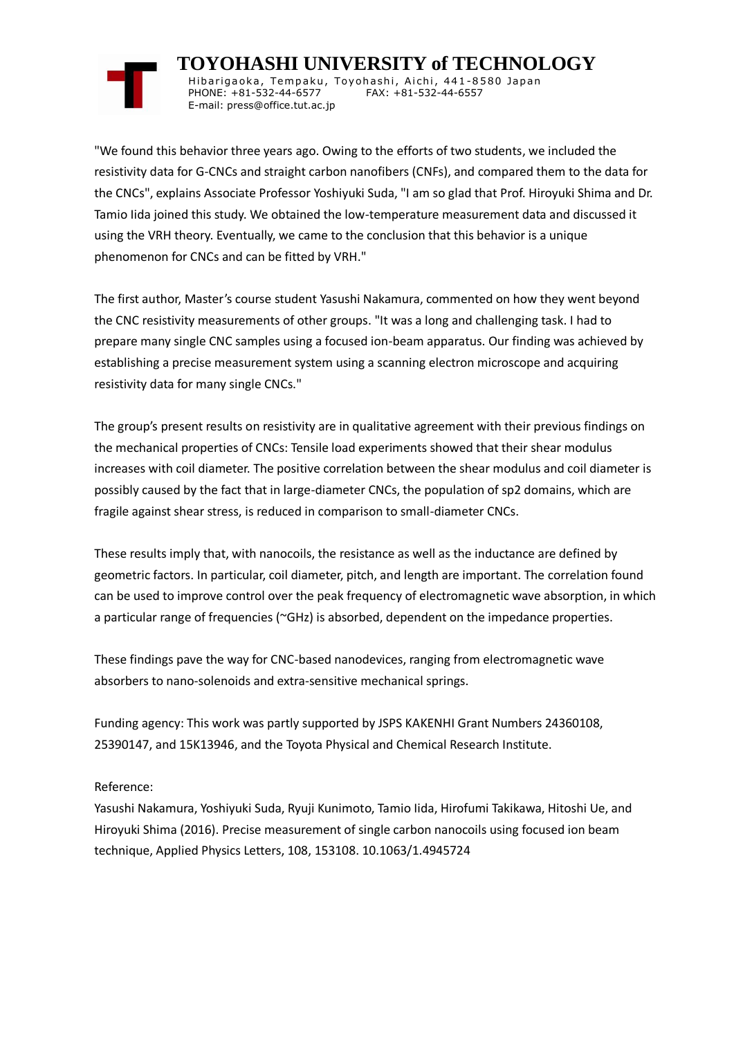## **TOYOHASHI UNIVERSITY of TECHNOLOGY**

Hibarigaoka, Tempaku, Toyohashi, Aichi, 441-8580 Japan PHONE: +81-532-44-6577 FAX: +81-532-44-6557 E-mail: press@office.tut.ac.jp

"We found this behavior three years ago. Owing to the efforts of two students, we included the resistivity data for G-CNCs and straight carbon nanofibers (CNFs), and compared them to the data for the CNCs", explains Associate Professor Yoshiyuki Suda, "I am so glad that Prof. Hiroyuki Shima and Dr. Tamio Iida joined this study. We obtained the low-temperature measurement data and discussed it using the VRH theory. Eventually, we came to the conclusion that this behavior is a unique phenomenon for CNCs and can be fitted by VRH."

The first author, Master's course student Yasushi Nakamura, commented on how they went beyond the CNC resistivity measurements of other groups. "It was a long and challenging task. I had to prepare many single CNC samples using a focused ion-beam apparatus. Our finding was achieved by establishing a precise measurement system using a scanning electron microscope and acquiring resistivity data for many single CNCs."

The group's present results on resistivity are in qualitative agreement with their previous findings on the mechanical properties of CNCs: Tensile load experiments showed that their shear modulus increases with coil diameter. The positive correlation between the shear modulus and coil diameter is possibly caused by the fact that in large-diameter CNCs, the population of sp2 domains, which are fragile against shear stress, is reduced in comparison to small-diameter CNCs.

These results imply that, with nanocoils, the resistance as well as the inductance are defined by geometric factors. In particular, coil diameter, pitch, and length are important. The correlation found can be used to improve control over the peak frequency of electromagnetic wave absorption, in which a particular range of frequencies (~GHz) is absorbed, dependent on the impedance properties.

These findings pave the way for CNC-based nanodevices, ranging from electromagnetic wave absorbers to nano-solenoids and extra-sensitive mechanical springs.

Funding agency: This work was partly supported by JSPS KAKENHI Grant Numbers 24360108, 25390147, and 15K13946, and the Toyota Physical and Chemical Research Institute.

### Reference:

Yasushi Nakamura, Yoshiyuki Suda, Ryuji Kunimoto, Tamio Iida, Hirofumi Takikawa, Hitoshi Ue, and Hiroyuki Shima (2016). Precise measurement of single carbon nanocoils using focused ion beam technique, Applied Physics Letters, 108, 153108. 10.1063/1.4945724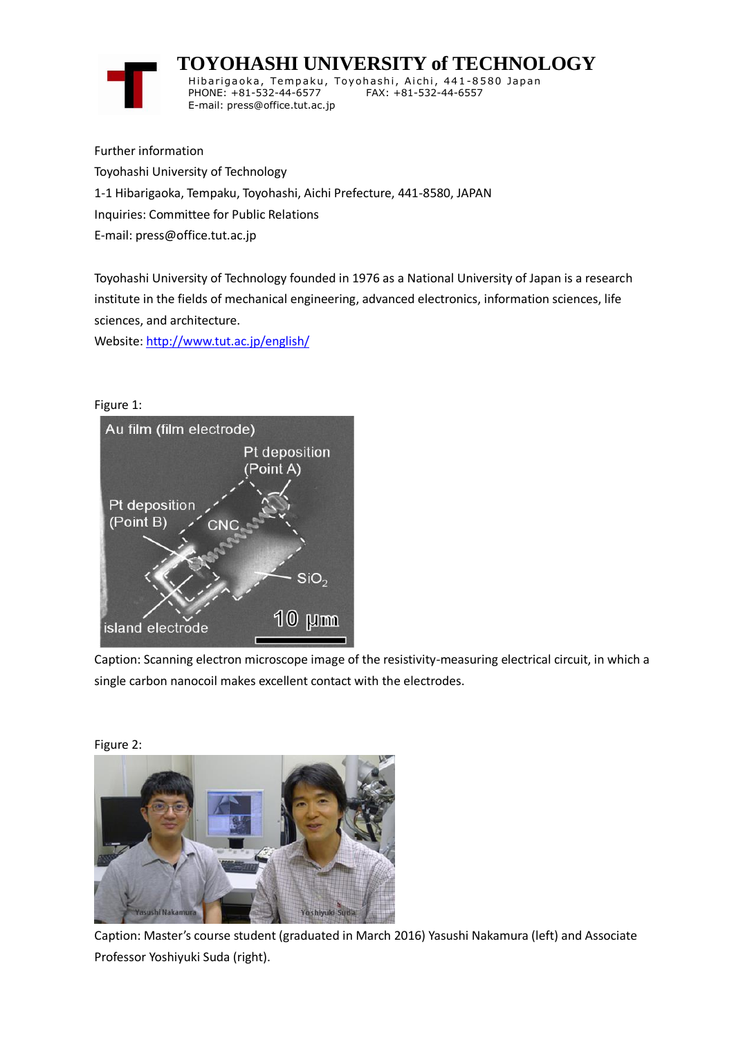# **TOYOHASHI UNIVERSITY of TECHNOLOGY**



Hibarigaoka, Tempaku, Toyohashi, Aichi, 441-8580 Japan PHONE: +81-532-44-6577 FAX: +81-532-44-6557 E-mail: press@office.tut.ac.jp

Further information Toyohashi University of Technology 1-1 Hibarigaoka, Tempaku, Toyohashi, Aichi Prefecture, 441-8580, JAPAN Inquiries: Committee for Public Relations E-mail: press@office.tut.ac.jp

Toyohashi University of Technology founded in 1976 as a National University of Japan is a research institute in the fields of mechanical engineering, advanced electronics, information sciences, life sciences, and architecture.

Website[: http://www.tut.ac.jp/english/](https://www.tut.ac.jp/english/)



Caption: Scanning electron microscope image of the resistivity-measuring electrical circuit, in which a single carbon nanocoil makes excellent contact with the electrodes.



Caption: Master's course student (graduated in March 2016) Yasushi Nakamura (left) and Associate Professor Yoshiyuki Suda (right).

Figure 2: